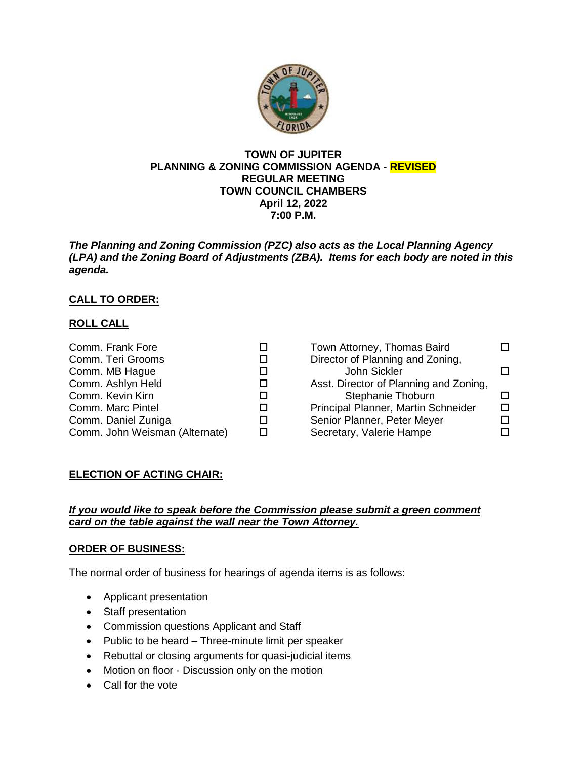

### **TOWN OF JUPITER PLANNING & ZONING COMMISSION AGENDA - REVISED REGULAR MEETING TOWN COUNCIL CHAMBERS April 12, 2022 7:00 P.M.**

*The Planning and Zoning Commission (PZC) also acts as the Local Planning Agency (LPA) and the Zoning Board of Adjustments (ZBA). Items for each body are noted in this agenda.*

# **CALL TO ORDER:**

## **ROLL CALL**

| Comm. Frank Fore               |    | Town Attorney, Thomas Baird            |   |
|--------------------------------|----|----------------------------------------|---|
| Comm. Teri Grooms              |    | Director of Planning and Zoning,       |   |
| Comm. MB Hague                 |    | John Sickler                           |   |
| Comm. Ashlyn Held              |    | Asst. Director of Planning and Zoning, |   |
| Comm. Kevin Kirn               |    | Stephanie Thoburn                      |   |
| Comm. Marc Pintel              | ΙI | Principal Planner, Martin Schneider    | п |
| Comm. Daniel Zuniga            |    | Senior Planner, Peter Meyer            |   |
| Comm. John Weisman (Alternate) |    | Secretary, Valerie Hampe               |   |

## **ELECTION OF ACTING CHAIR:**

## *If you would like to speak before the Commission please submit a green comment card on the table against the wall near the Town Attorney.*

### **ORDER OF BUSINESS:**

The normal order of business for hearings of agenda items is as follows:

- Applicant presentation
- Staff presentation
- Commission questions Applicant and Staff
- Public to be heard Three-minute limit per speaker
- Rebuttal or closing arguments for quasi-judicial items
- Motion on floor Discussion only on the motion
- Call for the vote